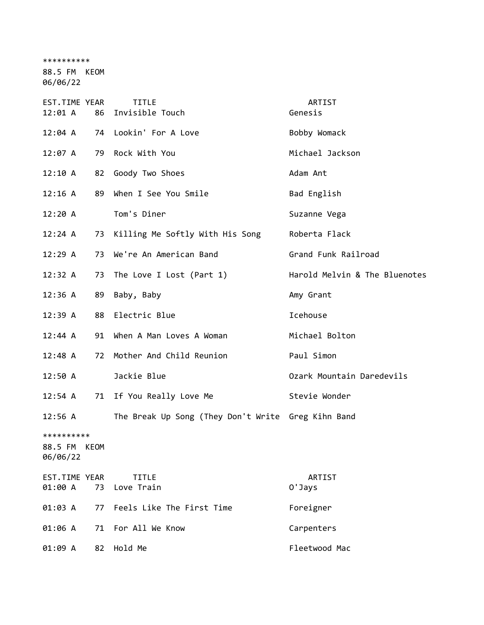\*\*\*\*\*\*\*\*\*\*

88.5 FM KEOM

06/06/22 EST.TIME YEAR TITLE THE REST.TIME YEAR 12:01 A 86 Invisible Touch Genesis 12:04 A 74 Lookin' For A Love Bobby Womack 12:07 A 79 Rock With You Michael Jackson 12:10 A 82 Goody Two Shoes Adam Ant 12:16 A 89 When I See You Smile Bad English 12:20 A Tom's Diner Suzanne Vega 12:24 A 73 Killing Me Softly With His Song Roberta Flack 12:29 A 73 We're An American Band Grand Funk Railroad 12:32 A 73 The Love I Lost (Part 1) Harold Melvin & The Bluenotes 12:36 A 89 Baby, Baby Amy Grant 12:39 A 88 Electric Blue **Icehouse** Icehouse 12:44 A 91 When A Man Loves A Woman Michael Bolton 12:48 A 72 Mother And Child Reunion Paul Simon 12:50 A Jackie Blue Ozark Mountain Daredevils 12:54 A 71 If You Really Love Me Stevie Wonder 12:56 A The Break Up Song (They Don't Write Greg Kihn Band \*\*\*\*\*\*\*\*\*\* 88.5 FM KEOM 06/06/22

EST.TIME YEAR TITLE ARTIST 01:00 A 73 Love Train C 70 O'Jays 01:03 A 77 Feels Like The First Time Foreigner 01:06 A 71 For All We Know Carpenters 01:09 A 82 Hold Me Fleetwood Mac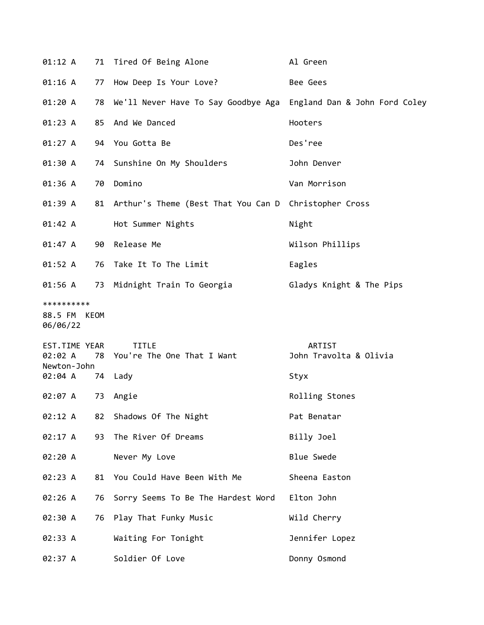| 01:12 A                                 |    | 71 Tired Of Being Alone                                  | Al Green                                |
|-----------------------------------------|----|----------------------------------------------------------|-----------------------------------------|
| 01:16 A                                 | 77 | How Deep Is Your Love?                                   | Bee Gees                                |
| 01:20 A                                 |    | 78 We'll Never Have To Say Goodbye Aga                   | England Dan & John Ford Coley           |
| 01:23 A                                 |    | 85 And We Danced                                         | Hooters                                 |
| 01:27 A                                 |    | 94 You Gotta Be                                          | Des'ree                                 |
| 01:30 A                                 |    | 74 Sunshine On My Shoulders                              | John Denver                             |
| 01:36 A                                 | 70 | Domino                                                   | Van Morrison                            |
| 01:39 A                                 |    | 81 Arthur's Theme (Best That You Can D Christopher Cross |                                         |
| 01:42 A                                 |    | Hot Summer Nights                                        | Night                                   |
| 01:47 A                                 | 90 | Release Me                                               | Wilson Phillips                         |
| 01:52 A                                 |    | 76 Take It To The Limit                                  | Eagles                                  |
| 01:56 A                                 |    | 73 Midnight Train To Georgia                             | Gladys Knight & The Pips                |
| **********<br>88.5 FM KEOM<br>06/06/22  |    |                                                          |                                         |
| EST.TIME YEAR<br>02:02 A<br>Newton-John |    | <b>TITLE</b><br>78 You're The One That I Want            | <b>ARTIST</b><br>John Travolta & Olivia |
| 02:04 A 74 Lady                         |    |                                                          | Styx                                    |
| 02:07 A                                 | 73 | Angie                                                    | Rolling Stones                          |
| 02:12 A                                 |    | 82 Shadows Of The Night                                  | Pat Benatar                             |
| 02:17 A                                 | 93 | The River Of Dreams                                      | Billy Joel                              |
| 02:20 A                                 |    | Never My Love                                            | <b>Blue Swede</b>                       |
| 02:23 A                                 |    | 81 You Could Have Been With Me                           | Sheena Easton                           |
| 02:26 A                                 | 76 | Sorry Seems To Be The Hardest Word                       | Elton John                              |
| 02:30 A                                 | 76 | Play That Funky Music                                    | Wild Cherry                             |
| 02:33 A                                 |    | Waiting For Tonight                                      | Jennifer Lopez                          |
| 02:37 A                                 |    | Soldier Of Love                                          | Donny Osmond                            |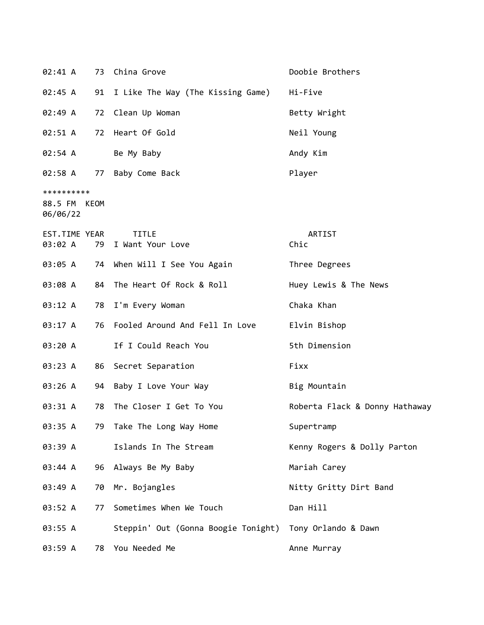| 02:41 A                                |    | 73 China Grove                                          | Doobie Brothers                |
|----------------------------------------|----|---------------------------------------------------------|--------------------------------|
| 02:45 A                                |    | 91 I Like The Way (The Kissing Game)                    | Hi-Five                        |
| 02:49 A                                | 72 | Clean Up Woman                                          | Betty Wright                   |
| $02:51 \; A$                           |    | 72 Heart Of Gold                                        | Neil Young                     |
| $02:54$ A                              |    | Be My Baby                                              | Andy Kim                       |
| 02:58 A                                |    | 77 Baby Come Back                                       | Player                         |
| **********<br>88.5 FM KEOM<br>06/06/22 |    |                                                         |                                |
| EST.TIME YEAR<br>03:02 A               | 79 | <b>TITLE</b><br>I Want Your Love                        | ARTIST<br>Chic                 |
| 03:05 A                                |    | 74 When Will I See You Again                            | Three Degrees                  |
| 03:08 A                                | 84 | The Heart Of Rock & Roll                                | Huey Lewis & The News          |
| 03:12 A                                | 78 | I'm Every Woman                                         | Chaka Khan                     |
| 03:17 A                                | 76 | Fooled Around And Fell In Love                          | Elvin Bishop                   |
| 03:20 A                                |    | If I Could Reach You                                    | 5th Dimension                  |
| 03:23 A                                | 86 | Secret Separation                                       | Fixx                           |
| 03:26 A                                |    | 94 Baby I Love Your Way                                 | Big Mountain                   |
| 03:31 A                                | 78 | The Closer I Get To You                                 | Roberta Flack & Donny Hathaway |
| 03:35 A                                |    | 79 Take The Long Way Home                               | Supertramp                     |
| 03:39 A                                |    | Islands In The Stream                                   | Kenny Rogers & Dolly Parton    |
| 03:44 A                                |    | 96 Always Be My Baby                                    | Mariah Carey                   |
| 03:49 A                                | 70 | Mr. Bojangles                                           | Nitty Gritty Dirt Band         |
| 03:52 A                                | 77 | Sometimes When We Touch                                 | Dan Hill                       |
| 03:55 A                                |    | Steppin' Out (Gonna Boogie Tonight) Tony Orlando & Dawn |                                |
| 03:59 A                                | 78 | You Needed Me                                           | Anne Murray                    |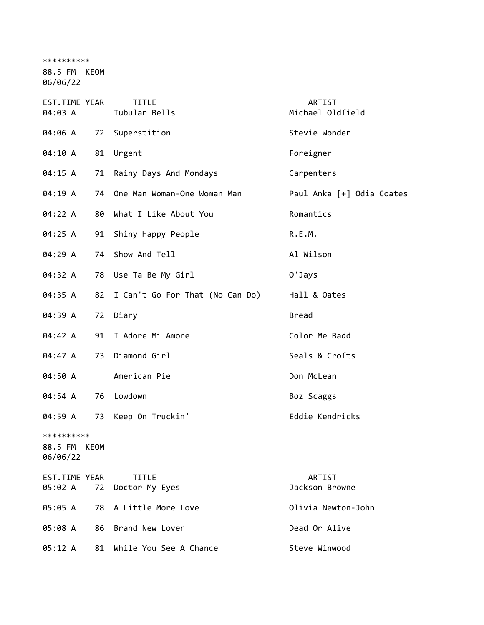\*\*\*\*\*\*\*\*\*\*

88.5 FM KEOM 06/06/22

EST.TIME YEAR TITLE ARTIST 04:03 A Tubular Bells Michael Oldfield 04:06 A 72 Superstition Stevie Wonder 04:10 A 81 Urgent Foreigner 04:15 A 71 Rainy Days And Mondays Carpenters 04:19 A 74 One Man Woman-One Woman Man Paul Anka [+] Odia Coates 04:22 A 80 What I Like About You Romantics 04:25 A 91 Shiny Happy People R.E.M. 04:29 A 74 Show And Tell **All Wilson** 04:32 A 78 Use Ta Be My Girl **O'Jays** 04:35 A 82 I Can't Go For That (No Can Do) Hall & Oates 04:39 A 72 Diary Bread 04:42 A 91 I Adore Mi Amore Color Me Badd 04:47 A 73 Diamond Girl Seals & Crofts 04:50 A American Pie Don McLean 04:54 A 76 Lowdown Boz Scaggs 04:59 A 73 Keep On Truckin' Eddie Kendricks \*\*\*\*\*\*\*\*\*\* 88.5 FM KEOM 06/06/22 EST.TIME YEAR TITLE ARTIST 05:02 A 72 Doctor My Eyes and the Care and Jackson Browne 05:05 A 78 A Little More Love Olivia Newton-John 05:08 A 86 Brand New Lover **Dead Or Alive** 05:12 A 81 While You See A Chance Steve Winwood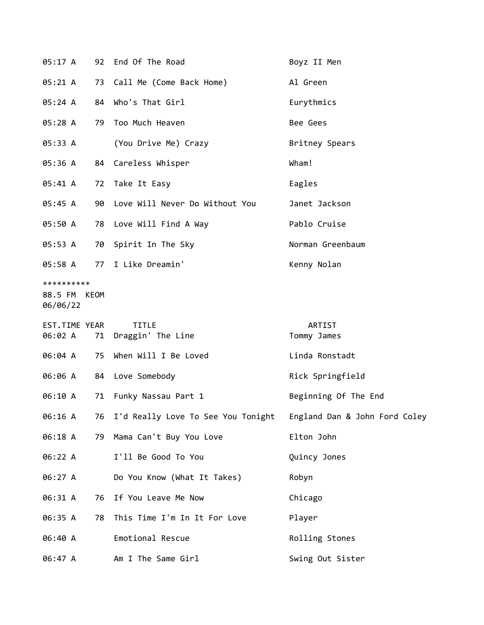| 05:17 A                                |    | 92 End Of The Road                    | Boyz II Men                   |
|----------------------------------------|----|---------------------------------------|-------------------------------|
| 05:21 A                                |    | 73 Call Me (Come Back Home)           | Al Green                      |
| 05:24 A                                |    | 84 Who's That Girl                    | Eurythmics                    |
| 05:28 A                                | 79 | Too Much Heaven                       | Bee Gees                      |
| 05:33 A                                |    | (You Drive Me) Crazy                  | Britney Spears                |
| 05:36 A                                |    | 84 Careless Whisper                   | Wham!                         |
| 05:41 A                                |    | 72 Take It Easy                       | Eagles                        |
| 05:45 A                                |    | 90 Love Will Never Do Without You     | Janet Jackson                 |
| 05:50 A                                |    | 78 Love Will Find A Way               | Pablo Cruise                  |
| 05:53 A                                |    | 70 Spirit In The Sky                  | Norman Greenbaum              |
| 05:58 A                                |    | 77 I Like Dreamin'                    | Kenny Nolan                   |
| **********<br>88.5 FM KEOM<br>06/06/22 |    |                                       |                               |
|                                        |    |                                       |                               |
| EST.TIME YEAR<br>06:02 A               | 71 | <b>TITLE</b><br>Draggin' The Line     | ARTIST<br>Tommy James         |
| 06:04 A                                | 75 | When Will I Be Loved                  | Linda Ronstadt                |
| 06:06 A                                |    | 84 Love Somebody                      | Rick Springfield              |
| 06:10 A                                |    | 71 Funky Nassau Part 1                | Beginning Of The End          |
| 06:16 A                                |    | 76 I'd Really Love To See You Tonight | England Dan & John Ford Coley |
| 06:18 A                                | 79 | Mama Can't Buy You Love               | Elton John                    |
| 06:22 A                                |    | I'll Be Good To You                   | Quincy Jones                  |
| 06:27 A                                |    | Do You Know (What It Takes)           | Robyn                         |
| 06:31 A                                |    | 76 If You Leave Me Now                | Chicago                       |
| 06:35 A                                | 78 | This Time I'm In It For Love          | Player                        |
| 06:40 A                                |    | Emotional Rescue                      | Rolling Stones                |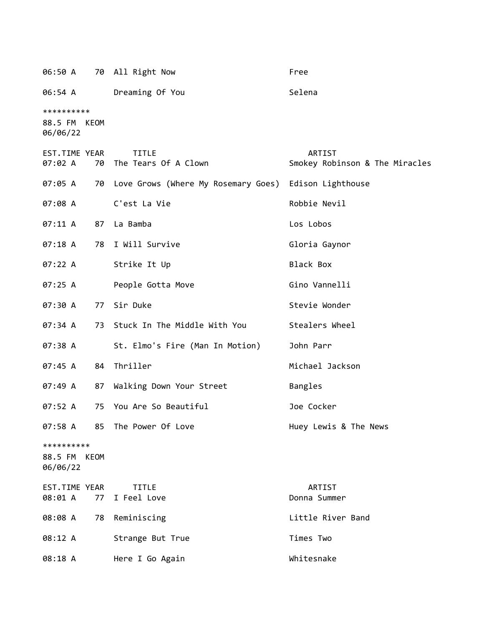06:50 A 70 All Right Now Free 06:54 A Dreaming Of You Changes and Selena \*\*\*\*\*\*\*\*\*\* 88.5 FM KEOM 06/06/22 EST.TIME YEAR TITLE ARTIST 07:02 A 70 The Tears Of A Clown Smokey Robinson & The Miracles 07:05 A 70 Love Grows (Where My Rosemary Goes) Edison Lighthouse 07:08 A C'est La Vie Communication of Robbie Nevil 07:11 A 87 La Bamba Los Lobos 07:18 A 78 I Will Survive Contract Gloria Gaynor 07:22 A Strike It Up Black Box 07:25 A People Gotta Move Gino Vannelli 07:30 A 77 Sir Duke Stevie Wonder 07:34 A 73 Stuck In The Middle With You Stealers Wheel 07:38 A St. Elmo's Fire (Man In Motion) John Parr 07:45 A 84 Thriller Michael Jackson 07:49 A 87 Walking Down Your Street Bangles 07:52 A 75 You Are So Beautiful Joe Cocker 07:58 A 85 The Power Of Love The Huey Lewis & The News \*\*\*\*\*\*\*\*\*\* 88.5 FM KEOM 06/06/22 EST.TIME YEAR TITLE ARTIST 08:01 A 77 I Feel Love Donna Summer 08:08 A 78 Reminiscing Contract Contract Contract Contract Contract Contract Contract Contract Contract Contract Contract Contract Contract Contract Contract Contract Contract Contract Contract Contract Contract Contract C 08:12 A Strange But True The Strange But True Times Two 08:18 A Here I Go Again Nhitesnake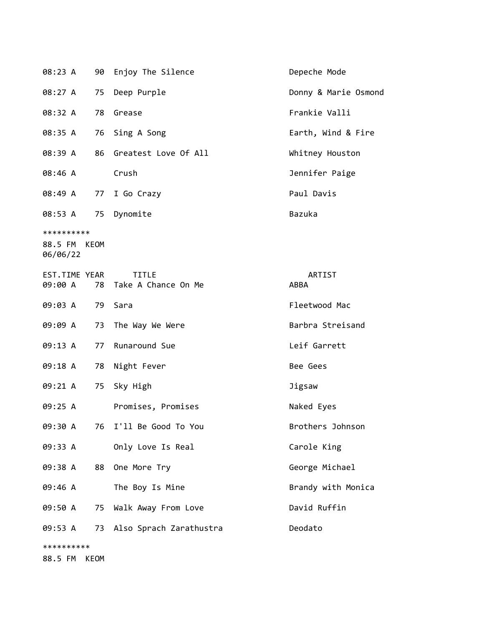| 08:23 A                                |      | 90 Enjoy The Silence                | Depeche Mode         |
|----------------------------------------|------|-------------------------------------|----------------------|
| 08:27 A                                | 75   | Deep Purple                         | Donny & Marie Osmond |
| 08:32 A                                | 78   | Grease                              | Frankie Valli        |
| 08:35 A                                |      | 76 Sing A Song                      | Earth, Wind & Fire   |
| 08:39 A                                |      | 86 Greatest Love Of All             | Whitney Houston      |
| 08:46 A                                |      | Crush                               | Jennifer Paige       |
| 08:49 A                                |      | 77 I Go Crazy                       | Paul Davis           |
| 08:53 A 75                             |      | Dynomite                            | Bazuka               |
| **********<br>88.5 FM KEOM<br>06/06/22 |      |                                     |                      |
| EST.TIME YEAR<br>09:00 A               | 78   | <b>TITLE</b><br>Take A Chance On Me | ARTIST<br>ABBA       |
| 09:03 A                                | 79   | Sara                                | Fleetwood Mac        |
| 09:09 A                                |      | 73 The Way We Were                  | Barbra Streisand     |
| 09:13 A                                | 77   | Runaround Sue                       | Leif Garrett         |
| 09:18 A                                | 78   | Night Fever                         | Bee Gees             |
| 09:21 A                                | 75   | Sky High                            | Jigsaw               |
| 09:25 A                                |      | Promises, Promises                  | Naked Eyes           |
| 09:30 A                                | 76   | I'll Be Good To You                 | Brothers Johnson     |
| 09:33 A                                |      | Only Love Is Real                   | Carole King          |
| 09:38 A                                | 88   | One More Try                        | George Michael       |
| 09:46 A                                |      | The Boy Is Mine                     | Brandy with Monica   |
| 09:50 A                                | 75   | Walk Away From Love                 | David Ruffin         |
| 09:53 A                                |      | 73 Also Sprach Zarathustra          | Deodato              |
| **********                             |      |                                     |                      |
| 88.5 FM                                | KEOM |                                     |                      |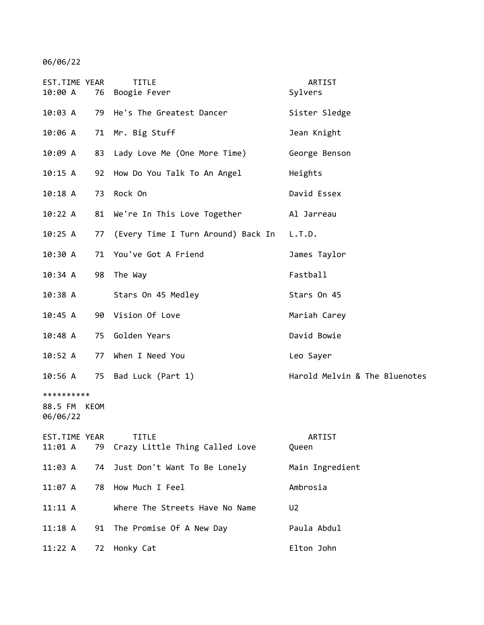06/06/22

| EST.TIME YEAR<br>10:00 A          | 76   | <b>TITLE</b><br>Boogie Fever       | ARTIST<br>Sylvers             |
|-----------------------------------|------|------------------------------------|-------------------------------|
| 10:03 A                           | 79   | He's The Greatest Dancer           | Sister Sledge                 |
| 10:06 A                           |      | 71 Mr. Big Stuff                   | Jean Knight                   |
| 10:09 A                           |      | 83 Lady Love Me (One More Time)    | George Benson                 |
| 10:15 A                           |      | 92 How Do You Talk To An Angel     | Heights                       |
| 10:18A                            | 73   | Rock On                            | David Essex                   |
| 10:22 A                           |      | 81 We're In This Love Together     | Al Jarreau                    |
| 10:25 A                           | 77   | (Every Time I Turn Around) Back In | L.T.D.                        |
| 10:30 A                           |      | 71 You've Got A Friend             | James Taylor                  |
| 10:34 A                           | 98   | The Way                            | Fastball                      |
| $10:38$ A                         |      | Stars On 45 Medley                 | Stars On 45                   |
| 10:45 A                           |      | 90 Vision Of Love                  | Mariah Carey                  |
| $10:48$ A                         | 75   | Golden Years                       | David Bowie                   |
| 10:52 A                           | 77   | When I Need You                    | Leo Sayer                     |
| $10:56$ A                         |      | 75 Bad Luck (Part 1)               | Harold Melvin & The Bluenotes |
| **********<br>88.5 FM<br>06/06/22 | KEOM |                                    |                               |
| EST.TIME YEAR                     |      | <b>TITLE</b>                       | ARTIST                        |
| 11:01 A                           | 79   | Crazy Little Thing Called Love     | Queen                         |
| 11:03 A                           | 74   | Just Don't Want To Be Lonely       | Main Ingredient               |
| 11:07A                            | 78   | How Much I Feel                    | Ambrosia                      |
| 11:11 A                           |      | Where The Streets Have No Name     | U <sub>2</sub>                |
| 11:18A                            | 91   | The Promise Of A New Day           | Paula Abdul                   |
| 11:22 A                           | 72   | Honky Cat                          | Elton John                    |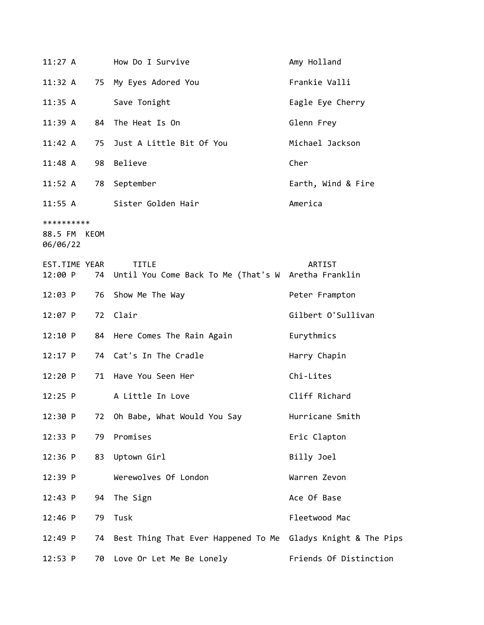| $11:27$ A                              |    | How Do I Survive                                                       | Amy Holland            |
|----------------------------------------|----|------------------------------------------------------------------------|------------------------|
| 11:32 A                                |    | 75 My Eyes Adored You                                                  | Frankie Valli          |
| 11:35 A                                |    | Save Tonight                                                           | Eagle Eye Cherry       |
| 11:39A                                 | 84 | The Heat Is On                                                         | Glenn Frey             |
| 11:42 A                                | 75 | Just A Little Bit Of You                                               | Michael Jackson        |
| 11:48 A                                | 98 | Believe                                                                | Cher                   |
| 11:52 A                                |    | 78 September                                                           | Earth, Wind & Fire     |
|                                        |    | 11:55 A Sister Golden Hair                                             | America                |
| **********<br>88.5 FM KEOM<br>06/06/22 |    |                                                                        |                        |
| EST.TIME YEAR<br>12:00 P               |    | <b>TITLE</b><br>74 Until You Come Back To Me (That's W Aretha Franklin | ARTIST                 |
| 12:03 P                                | 76 | Show Me The Way                                                        | Peter Frampton         |
| 12:07 P                                | 72 | Clair                                                                  | Gilbert O'Sullivan     |
| 12:10 P                                |    | 84 Here Comes The Rain Again                                           | Eurythmics             |
| 12:17 P                                |    | 74 Cat's In The Cradle                                                 | Harry Chapin           |
| 12:20 P                                | 71 | Have You Seen Her                                                      | Chi-Lites              |
| $12:25$ P                              |    | A Little In Love                                                       | Cliff Richard          |
| 12:30 P                                | 72 | Oh Babe, What Would You Say                                            | Hurricane Smith        |
| 12:33 P                                | 79 | Promises                                                               | Eric Clapton           |
| $12:36$ P                              | 83 | Uptown Girl                                                            | Billy Joel             |
| 12:39 P                                |    | Werewolves Of London                                                   | Warren Zevon           |
| 12:43 P                                | 94 | The Sign                                                               | Ace Of Base            |
| $12:46$ P                              | 79 | Tusk                                                                   | Fleetwood Mac          |
| 12:49 P                                | 74 | Best Thing That Ever Happened To Me Gladys Knight & The Pips           |                        |
| 12:53 P                                | 70 | Love Or Let Me Be Lonely                                               | Friends Of Distinction |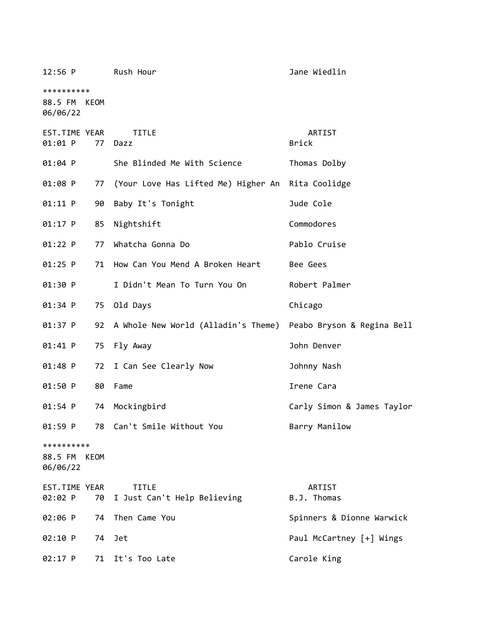| $12:56$ P                              |      | Rush Hour                                                      | Jane Wiedlin               |
|----------------------------------------|------|----------------------------------------------------------------|----------------------------|
| **********<br>88.5 FM KEOM<br>06/06/22 |      |                                                                |                            |
| EST.TIME YEAR<br>01:01 P               | 77   | <b>TITLE</b><br>Dazz                                           | ARTIST<br><b>Brick</b>     |
| 01:04 P                                |      | She Blinded Me With Science                                    | Thomas Dolby               |
| 01:08 P                                | 77   | (Your Love Has Lifted Me) Higher An Rita Coolidge              |                            |
| 01:11 P                                | 90   | Baby It's Tonight                                              | Jude Cole                  |
| 01:17 P                                | 85   | Nightshift                                                     | Commodores                 |
| 01:22 P                                | 77   | Whatcha Gonna Do                                               | Pablo Cruise               |
| $01:25$ P                              | 71   | How Can You Mend A Broken Heart                                | Bee Gees                   |
| 01:30 P                                |      | I Didn't Mean To Turn You On                                   | Robert Palmer              |
| 01:34 P                                | 75   | Old Days                                                       | Chicago                    |
| 01:37 P                                | 92   | A Whole New World (Alladin's Theme) Peabo Bryson & Regina Bell |                            |
| 01:41 P                                | 75   | Fly Away                                                       | John Denver                |
| 01:48 P                                | 72   | I Can See Clearly Now                                          | Johnny Nash                |
| 01:50 P                                | 80   | Fame                                                           | Irene Cara                 |
| 01:54 P                                | 74   | Mockingbird                                                    | Carly Simon & James Taylor |
| 01:59 P                                | 78   | Can't Smile Without You                                        | Barry Manilow              |
| **********<br>88.5 FM<br>06/06/22      | KEOM |                                                                |                            |
| EST.TIME YEAR<br>02:02 P               | 70   | <b>TITLE</b><br>I Just Can't Help Believing                    | ARTIST<br>B.J. Thomas      |
| 02:06 P                                | 74   | Then Came You                                                  | Spinners & Dionne Warwick  |
| 02:10 P                                | 74   | Jet                                                            | Paul McCartney [+] Wings   |
| 02:17 P                                | 71   | It's Too Late                                                  | Carole King                |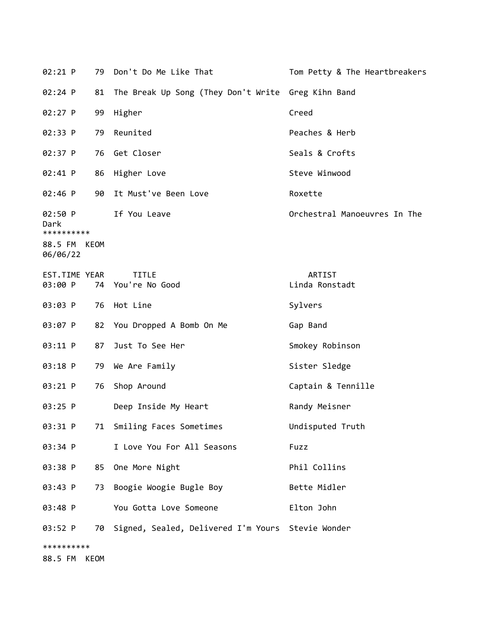| 02:21 P                                                   |      | 79 Don't Do Me Like That                             | Tom Petty & The Heartbreakers |
|-----------------------------------------------------------|------|------------------------------------------------------|-------------------------------|
| 02:24 P                                                   | 81   | The Break Up Song (They Don't Write Greg Kihn Band   |                               |
| 02:27 P                                                   | 99   | Higher                                               | Creed                         |
| 02:33 P                                                   | 79   | Reunited                                             | Peaches & Herb                |
| 02:37 P                                                   | 76   | Get Closer                                           | Seals & Crofts                |
| 02:41 P                                                   | 86   | Higher Love                                          | Steve Winwood                 |
| 02:46 P                                                   |      | 90 It Must've Been Love                              | Roxette                       |
| 02:50 P<br>Dark<br>**********<br>88.5 FM KEOM<br>06/06/22 |      | If You Leave                                         | Orchestral Manoeuvres In The  |
| EST.TIME YEAR<br>03:00 P                                  |      | <b>TITLE</b><br>74 You're No Good                    | ARTIST<br>Linda Ronstadt      |
| 03:03 P                                                   | 76   | Hot Line                                             | Sylvers                       |
| 03:07 P                                                   |      | 82 You Dropped A Bomb On Me                          | Gap Band                      |
| 03:11 P                                                   | 87   | Just To See Her                                      | Smokey Robinson               |
| 03:18 P                                                   | 79   | We Are Family                                        | Sister Sledge                 |
| 03:21 P                                                   | 76   | Shop Around                                          | Captain & Tennille            |
| 03:25 P                                                   |      | Deep Inside My Heart                                 | Randy Meisner                 |
| 03:31 P                                                   |      | 71 Smiling Faces Sometimes                           | Undisputed Truth              |
| 03:34 P                                                   |      | I Love You For All Seasons                           | Fuzz                          |
| 03:38 P                                                   | 85   | One More Night                                       | Phil Collins                  |
| 03:43 P                                                   | 73   | Boogie Woogie Bugle Boy                              | Bette Midler                  |
| 03:48 P                                                   |      | You Gotta Love Someone                               | Elton John                    |
| 03:52 P                                                   |      | 70 Signed, Sealed, Delivered I'm Yours Stevie Wonder |                               |
| **********                                                |      |                                                      |                               |
| 88.5 FM                                                   | KEOM |                                                      |                               |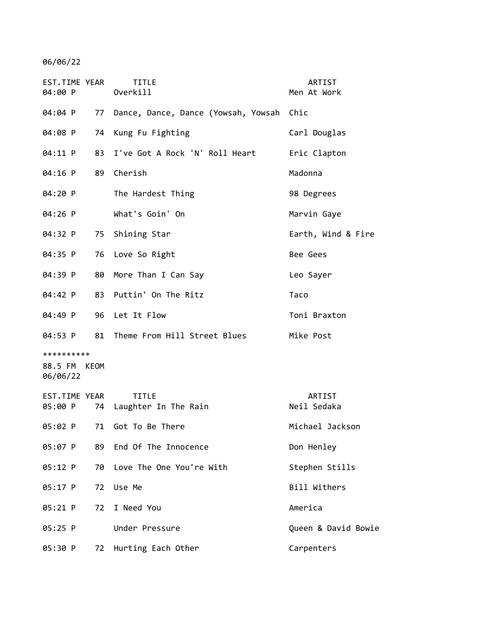06/06/22

| EST.TIME YEAR<br>04:00 P               | <b>TITLE</b><br>Overkill                 | ARTIST<br>Men At Work |
|----------------------------------------|------------------------------------------|-----------------------|
| 04:04 P<br>77                          | Dance, Dance, Dance (Yowsah, Yowsah Chic |                       |
| 04:08 P                                | 74 Kung Fu Fighting                      | Carl Douglas          |
| 04:11 P                                | 83 I've Got A Rock 'N' Roll Heart        | Eric Clapton          |
| 04:16 P                                | 89 Cherish                               | Madonna               |
| 04:20 P                                | The Hardest Thing                        | 98 Degrees            |
| 04:26 P                                | What's Goin' On                          | Marvin Gaye           |
| 04:32 P                                | 75 Shining Star                          | Earth, Wind & Fire    |
| 04:35 P                                | 76 Love So Right                         | Bee Gees              |
| 04:39 P<br>80                          | More Than I Can Say                      | Leo Sayer             |
| 04:42 P                                | 83 Puttin' On The Ritz                   | Taco                  |
| 04:49 P                                | 96 Let It Flow                           | Toni Braxton          |
| 04:53 P                                | 81 Theme From Hill Street Blues          | Mike Post             |
| **********<br>88.5 FM KEOM<br>06/06/22 |                                          |                       |
| EST.TIME YEAR<br>05:00 P               | <b>TITLE</b><br>74 Laughter In The Rain  | ARTIST<br>Neil Sedaka |
|                                        | 05:02 P 71 Got To Be There               | Michael Jackson       |
| 05:07 P                                | 89 End Of The Innocence                  | Don Henley            |
| 05:12 P                                | 70 Love The One You're With              | Stephen Stills        |
| $05:17$ P<br>72                        | Use Me                                   | Bill Withers          |
| 72<br>05:21 P                          | I Need You                               | America               |
| 05:25 P                                | Under Pressure                           | Queen & David Bowie   |
| 05:30 P<br>72                          | Hurting Each Other                       | Carpenters            |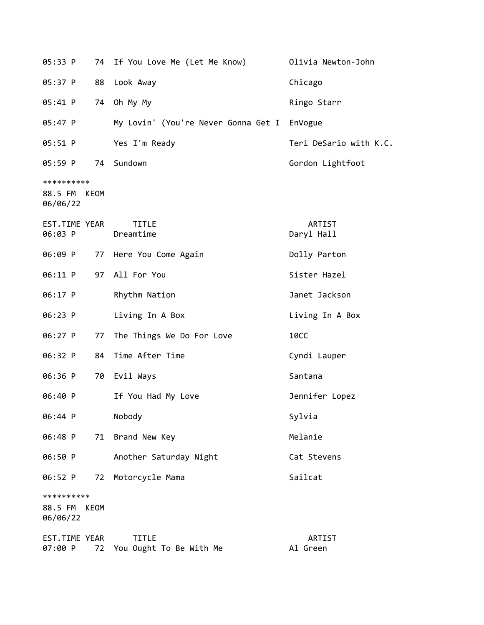| 05:33 P                                   | 74 | If You Love Me (Let Me Know)            | Olivia Newton-John     |
|-------------------------------------------|----|-----------------------------------------|------------------------|
| 05:37 P                                   | 88 | Look Away                               | Chicago                |
| 05:41 P                                   | 74 | Oh My My                                | Ringo Starr            |
| 05:47 P                                   |    | My Lovin' (You're Never Gonna Get I     | EnVogue                |
| 05:51 P                                   |    | Yes I'm Ready                           | Teri DeSario with K.C. |
| 05:59 P                                   |    | 74 Sundown                              | Gordon Lightfoot       |
| **********<br>88.5 FM KEOM<br>06/06/22    |    |                                         |                        |
| EST.TIME YEAR<br>06:03 P                  |    | <b>TITLE</b><br>Dreamtime               | ARTIST<br>Daryl Hall   |
| 06:09 P                                   |    | 77 Here You Come Again                  | Dolly Parton           |
| 06:11 P                                   |    | 97 All For You                          | Sister Hazel           |
| 06:17 P                                   |    | Rhythm Nation                           | Janet Jackson          |
| 06:23 P                                   |    | Living In A Box                         | Living In A Box        |
| 06:27 P                                   | 77 | The Things We Do For Love               | <b>10CC</b>            |
| 06:32 P                                   | 84 | Time After Time                         | Cyndi Lauper           |
| 06:36 P                                   | 70 | Evil Ways                               | Santana                |
| 06:40 P                                   |    | If You Had My Love                      | Jennifer Lopez         |
| 06:44 P                                   |    | Nobody                                  | Sylvia                 |
| 06:48 P                                   | 71 | Brand New Key                           | Melanie                |
| 06:50 P                                   |    | Another Saturday Night                  | Cat Stevens            |
| 06:52 P                                   | 72 | Motorcycle Mama                         | Sailcat                |
| **********<br>88.5 FM<br>KEOM<br>06/06/22 |    |                                         |                        |
| EST.TIME YEAR<br>07:00 P                  | 72 | <b>TITLE</b><br>You Ought To Be With Me | ARTIST<br>Al Green     |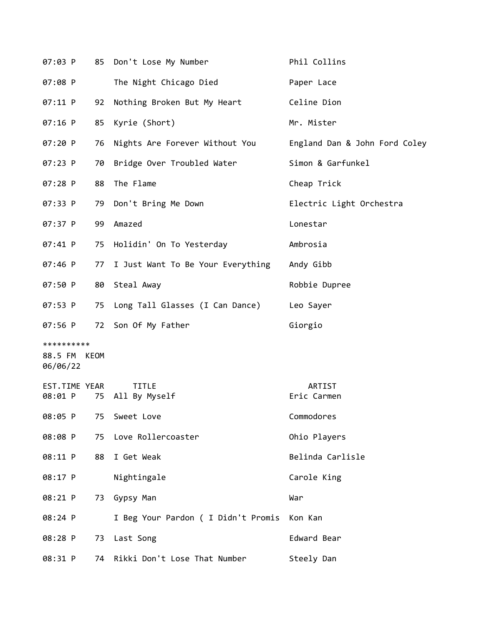| 07:03 P                                |    | 85 Don't Lose My Number              | Phil Collins                  |
|----------------------------------------|----|--------------------------------------|-------------------------------|
| 07:08 P                                |    | The Night Chicago Died               | Paper Lace                    |
| $07:11$ P                              | 92 | Nothing Broken But My Heart          | Celine Dion                   |
| 07:16 P                                | 85 | Kyrie (Short)                        | Mr. Mister                    |
| 07:20 P                                |    | 76 Nights Are Forever Without You    | England Dan & John Ford Coley |
| 07:23 P                                | 70 | Bridge Over Troubled Water           | Simon & Garfunkel             |
| 07:28 P                                | 88 | The Flame                            | Cheap Trick                   |
| 07:33 P                                |    | 79 Don't Bring Me Down               | Electric Light Orchestra      |
| 07:37 P                                | 99 | Amazed                               | Lonestar                      |
| 07:41 P                                |    | 75 Holidin' On To Yesterday          | Ambrosia                      |
| 07:46 P                                |    | 77 I Just Want To Be Your Everything | Andy Gibb                     |
| 07:50 P                                |    | 80 Steal Away                        | Robbie Dupree                 |
| 07:53 P                                |    | 75 Long Tall Glasses (I Can Dance)   | Leo Sayer                     |
| 07:56 P                                |    | 72 Son Of My Father                  | Giorgio                       |
| **********<br>88.5 FM KEOM<br>06/06/22 |    |                                      |                               |
| EST.TIME YEAR<br>08:01 P               |    | <b>TITLE</b><br>75 All By Myself     | ARTIST<br>Eric Carmen         |
| 08:05 P                                | 75 | Sweet Love                           | Commodores                    |
| 08:08 P                                | 75 | Love Rollercoaster                   | Ohio Players                  |
| 08:11 P                                | 88 | I Get Weak                           | Belinda Carlisle              |
| 08:17 P                                |    | Nightingale                          | Carole King                   |
| 08:21 P                                | 73 | Gypsy Man                            | War                           |
| 08:24 P                                |    | I Beg Your Pardon ( I Didn't Promis  | Kon Kan                       |
| 08:28 P                                | 73 | Last Song                            | Edward Bear                   |
| 08:31 P                                | 74 | Rikki Don't Lose That Number         | Steely Dan                    |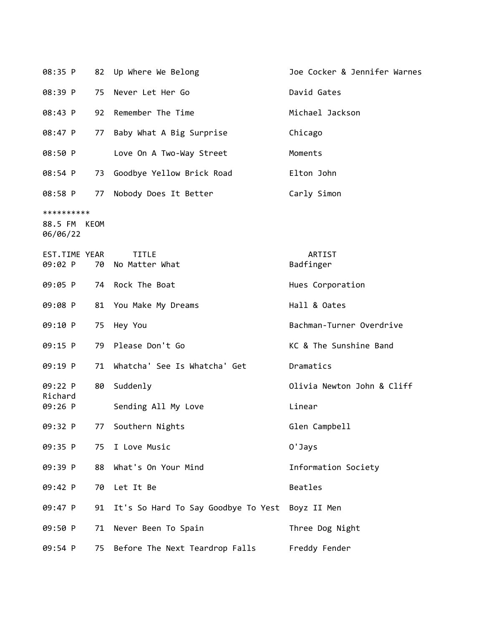| 08:35 P                                |    | 82 Up Where We Belong               | Joe Cocker & Jennifer Warnes |
|----------------------------------------|----|-------------------------------------|------------------------------|
| 08:39 P                                | 75 | Never Let Her Go                    | David Gates                  |
| 08:43 P                                | 92 | Remember The Time                   | Michael Jackson              |
| 08:47 P                                | 77 | Baby What A Big Surprise            | Chicago                      |
| 08:50 P                                |    | Love On A Two-Way Street            | Moments                      |
| 08:54 P                                |    | 73 Goodbye Yellow Brick Road        | Elton John                   |
| 08:58 P                                | 77 | Nobody Does It Better               | Carly Simon                  |
| **********<br>88.5 FM KEOM<br>06/06/22 |    |                                     |                              |
| EST.TIME YEAR<br>09:02 P               | 70 | <b>TITLE</b><br>No Matter What      | ARTIST<br>Badfinger          |
| 09:05 P                                | 74 | Rock The Boat                       | Hues Corporation             |
| 09:08 P                                | 81 | You Make My Dreams                  | Hall & Oates                 |
| 09:10 P                                | 75 | Hey You                             | Bachman-Turner Overdrive     |
| 09:15 P                                | 79 | Please Don't Go                     | KC & The Sunshine Band       |
| 09:19 P                                | 71 | Whatcha' See Is Whatcha' Get        | Dramatics                    |
| 09:22 P<br>Richard                     | 80 | Suddenly                            | Olivia Newton John & Cliff   |
| 09:26 P                                |    | Sending All My Love                 | Linear                       |
| 09:32 P                                |    | 77 Southern Nights                  | Glen Campbell                |
| 09:35 P                                | 75 | I Love Music                        | 0'Jays                       |
| 09:39 P                                | 88 | What's On Your Mind                 | Information Society          |
| 09:42 P                                | 70 | Let It Be                           | Beatles                      |
| 09:47 P                                | 91 | It's So Hard To Say Goodbye To Yest | Boyz II Men                  |
| 09:50 P                                | 71 | Never Been To Spain                 | Three Dog Night              |
| 09:54 P                                | 75 | Before The Next Teardrop Falls      | Freddy Fender                |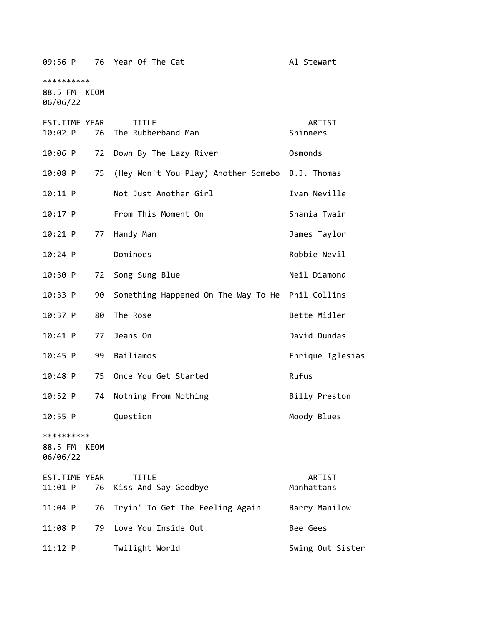09:56 P 76 Year Of The Cat Al Stewart

\*\*\*\*\*\*\*\*\*\*

88.5 FM KEOM 06/06/22

| EST.TIME YEAR<br>10:02 P<br>76         | <b>TITLE</b><br>The Rubberband Man               | ARTIST<br>Spinners |
|----------------------------------------|--------------------------------------------------|--------------------|
| 10:06 P<br>72                          | Down By The Lazy River                           | Osmonds            |
| 75<br>10:08 P                          | (Hey Won't You Play) Another Somebo B.J. Thomas  |                    |
|                                        |                                                  |                    |
| 10:11 P                                | Not Just Another Girl                            | Ivan Neville       |
| $10:17$ P                              | From This Moment On                              | Shania Twain       |
| $10:21$ P<br>77                        | Handy Man                                        | James Taylor       |
| $10:24$ P                              | Dominoes                                         | Robbie Nevil       |
| 10:30 P<br>72                          | Song Sung Blue                                   | Neil Diamond       |
| 10:33 P<br>90                          | Something Happened On The Way To He Phil Collins |                    |
| $10:37$ P<br>80                        | The Rose                                         | Bette Midler       |
| $10:41$ P<br>77                        | Jeans On                                         | David Dundas       |
| $10:45$ P<br>99                        | Bailiamos                                        | Enrique Iglesias   |
| $10:48$ P<br>75                        | Once You Get Started                             | Rufus              |
| 74<br>10:52 P                          | Nothing From Nothing                             | Billy Preston      |
| 10:55 P                                | Question                                         | Moody Blues        |
| **********<br>88.5 FM KEOM<br>06/06/22 |                                                  |                    |
| EST.TIME YEAR                          | <b>TITLE</b>                                     | ARTIST             |
| 76<br>11:01 P                          | Kiss And Say Goodbye                             | Manhattans         |
| 76<br>$11:04$ P                        | Tryin' To Get The Feeling Again                  | Barry Manilow      |
| $11:08$ P<br>79                        | Love You Inside Out                              | Bee Gees           |
| $11:12$ P                              | Twilight World                                   | Swing Out Sister   |